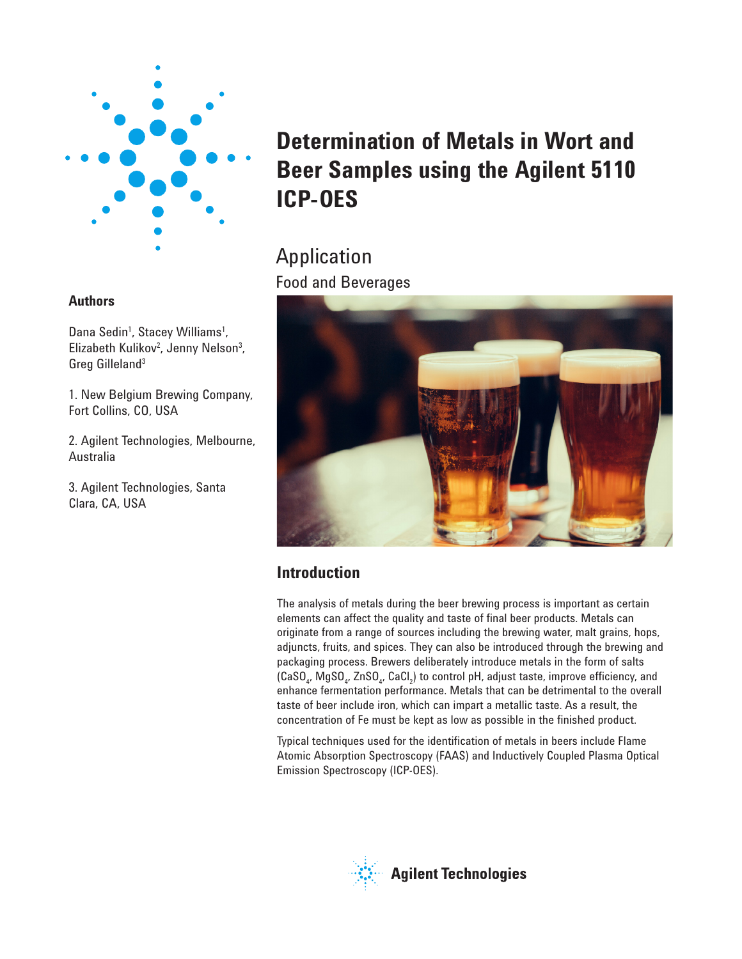

### **Authors**

Dana Sedin<sup>1</sup>, Stacey Williams<sup>1</sup>, Elizabeth Kulikov<sup>2</sup>, Jenny Nelson<sup>3</sup>, Greg Gilleland3

1. New Belgium Brewing Company, Fort Collins, CO, USA

2. Agilent Technologies, Melbourne, Australia

3. Agilent Technologies, Santa Clara, CA, USA

# **Determination of Metals in Wort and Beer Samples using the Agilent 5110 ICP-OES**

## Application Food and Beverages



## **Introduction**

The analysis of metals during the beer brewing process is important as certain elements can affect the quality and taste of final beer products. Metals can originate from a range of sources including the brewing water, malt grains, hops, adjuncts, fruits, and spices. They can also be introduced through the brewing and packaging process. Brewers deliberately introduce metals in the form of salts (CaSO<sub>4</sub>, MgSO<sub>4</sub>, ZnSO<sub>4</sub>, CaCl<sub>2</sub>) to control pH, adjust taste, improve efficiency, and enhance fermentation performance. Metals that can be detrimental to the overall taste of beer include iron, which can impart a metallic taste. As a result, the concentration of Fe must be kept as low as possible in the finished product.

Typical techniques used for the identification of metals in beers include Flame Atomic Absorption Spectroscopy (FAAS) and Inductively Coupled Plasma Optical Emission Spectroscopy (ICP-OES).

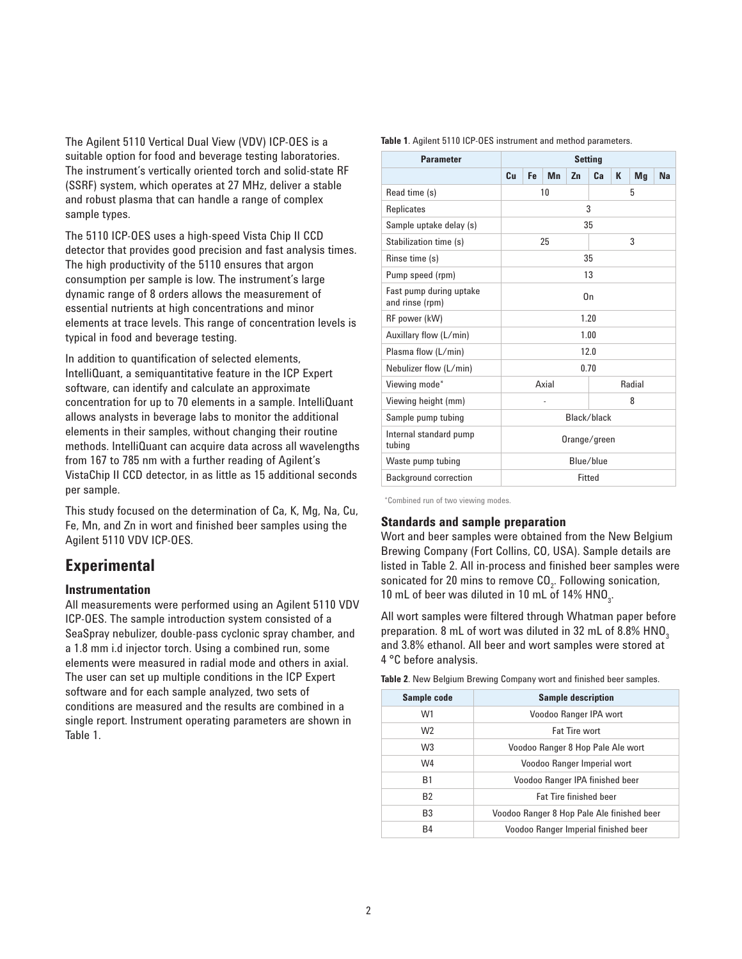The Agilent 5110 Vertical Dual View (VDV) ICP-OES is a suitable option for food and beverage testing laboratories. The instrument's vertically oriented torch and solid-state RF (SSRF) system, which operates at 27 MHz, deliver a stable and robust plasma that can handle a range of complex sample types.

The 5110 ICP-OES uses a high-speed Vista Chip II CCD detector that provides good precision and fast analysis times. The high productivity of the 5110 ensures that argon consumption per sample is low. The instrument's large dynamic range of 8 orders allows the measurement of essential nutrients at high concentrations and minor elements at trace levels. This range of concentration levels is typical in food and beverage testing.

In addition to quantification of selected elements, IntelliQuant, a semiquantitative feature in the ICP Expert software, can identify and calculate an approximate concentration for up to 70 elements in a sample. IntelliQuant allows analysts in beverage labs to monitor the additional elements in their samples, without changing their routine methods. IntelliQuant can acquire data across all wavelengths from 167 to 785 nm with a further reading of Agilent's VistaChip II CCD detector, in as little as 15 additional seconds per sample.

This study focused on the determination of Ca, K, Mg, Na, Cu, Fe, Mn, and Zn in wort and finished beer samples using the Agilent 5110 VDV ICP-OES.

## **Experimental**

#### **Instrumentation**

All measurements were performed using an Agilent 5110 VDV ICP-OES. The sample introduction system consisted of a SeaSpray nebulizer, double-pass cyclonic spray chamber, and a 1.8 mm i.d injector torch. Using a combined run, some elements were measured in radial mode and others in axial. The user can set up multiple conditions in the ICP Expert software and for each sample analyzed, two sets of conditions are measured and the results are combined in a single report. Instrument operating parameters are shown in Table 1.

| <b>Parameter</b>                           | <b>Setting</b>  |         |    |    |    |   |    |    |
|--------------------------------------------|-----------------|---------|----|----|----|---|----|----|
|                                            | Сu              | Fe      | Mn | Zn | Ca | К | Mg | Na |
| Read time (s)                              |                 | 10      |    |    |    | 5 |    |    |
| Replicates                                 |                 |         |    |    | 3  |   |    |    |
| Sample uptake delay (s)                    |                 |         |    |    | 35 |   |    |    |
| Stabilization time (s)                     |                 | 25<br>3 |    |    |    |   |    |    |
| Rinse time (s)                             |                 |         |    |    | 35 |   |    |    |
| Pump speed (rpm)                           |                 |         |    |    | 13 |   |    |    |
| Fast pump during uptake<br>and rinse (rpm) | On              |         |    |    |    |   |    |    |
| RF power (kW)                              | 1.20            |         |    |    |    |   |    |    |
| Auxillary flow (L/min)                     | 1.00            |         |    |    |    |   |    |    |
| Plasma flow (L/min)                        | 12.0            |         |    |    |    |   |    |    |
| Nebulizer flow (L/min)                     | 0.70            |         |    |    |    |   |    |    |
| Viewing mode*                              | Axial<br>Radial |         |    |    |    |   |    |    |
| Viewing height (mm)                        | 8               |         |    |    |    |   |    |    |
| Sample pump tubing                         | Black/black     |         |    |    |    |   |    |    |
| Internal standard pump<br>tubing           | Orange/green    |         |    |    |    |   |    |    |
| Waste pump tubing                          | Blue/blue       |         |    |    |    |   |    |    |
| <b>Background correction</b>               | Fitted          |         |    |    |    |   |    |    |

**Table 1**. Agilent 5110 ICP-OES instrument and method parameters.

\*Combined run of two viewing modes.

#### **Standards and sample preparation**

Wort and beer samples were obtained from the New Belgium Brewing Company (Fort Collins, CO, USA). Sample details are listed in Table 2. All in-process and finished beer samples were sonicated for 20 mins to remove CO<sub>2</sub>. Following sonication, 10 mL of beer was diluted in 10 mL of 14%  $HNO<sub>3</sub>$ .

All wort samples were filtered through Whatman paper before preparation. 8 mL of wort was diluted in 32 mL of 8.8% HNO<sub>3</sub> and 3.8% ethanol. All beer and wort samples were stored at 4 °C before analysis.

**Table 2**. New Belgium Brewing Company wort and finished beer samples.

| Sample code    | <b>Sample description</b>                  |  |  |  |
|----------------|--------------------------------------------|--|--|--|
| W1             | Voodoo Ranger IPA wort                     |  |  |  |
| W <sub>2</sub> | Fat Tire wort                              |  |  |  |
| W3             | Voodoo Ranger 8 Hop Pale Ale wort          |  |  |  |
| W4             | Voodoo Ranger Imperial wort                |  |  |  |
| <b>B1</b>      | Voodoo Ranger IPA finished beer            |  |  |  |
| <b>B2</b>      | <b>Fat Tire finished beer</b>              |  |  |  |
| B <sub>3</sub> | Voodoo Ranger 8 Hop Pale Ale finished beer |  |  |  |
| B <sub>4</sub> | Voodoo Ranger Imperial finished beer       |  |  |  |
|                |                                            |  |  |  |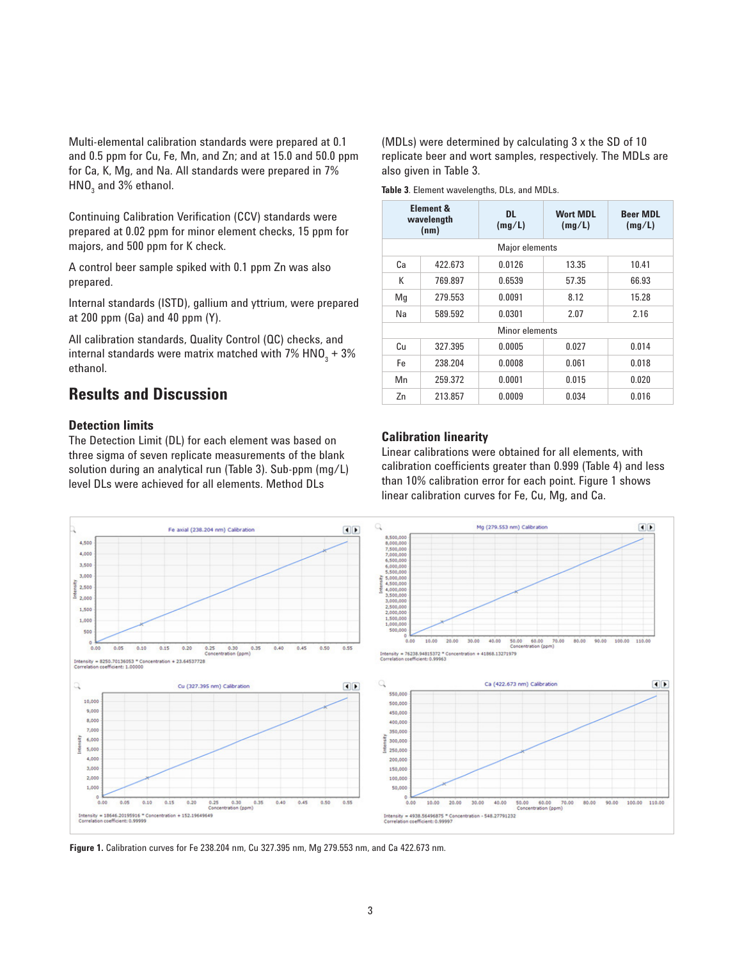Multi-elemental calibration standards were prepared at 0.1 and 0.5 ppm for Cu, Fe, Mn, and Zn; and at 15.0 and 50.0 ppm for Ca, K, Mg, and Na. All standards were prepared in 7% HNO $_{\tiny 3}$  and 3% ethanol.

Continuing Calibration Verification (CCV) standards were prepared at 0.02 ppm for minor element checks, 15 ppm for majors, and 500 ppm for K check.

A control beer sample spiked with 0.1 ppm Zn was also prepared.

Internal standards (ISTD), gallium and yttrium, were prepared at 200 ppm (Ga) and 40 ppm (Y).

All calibration standards, Quality Control (QC) checks, and internal standards were matrix matched with 7% HNO $_{_3}$  + 3%  $\,$ ethanol.

## **Results and Discussion**

#### **Detection limits**

The Detection Limit (DL) for each element was based on three sigma of seven replicate measurements of the blank solution during an analytical run (Table 3). Sub-ppm (mg/L) level DLs were achieved for all elements. Method DLs

(MDLs) were determined by calculating 3 x the SD of 10 replicate beer and wort samples, respectively. The MDLs are also given in Table 3.

**Table 3**. Element wavelengths, DLs, and MDLs.

|    | <b>Element &amp;</b><br><b>DL</b><br>wavelength<br>(mg/L)<br>(nm) |        | <b>Wort MDL</b><br>(mg/L) | <b>Beer MDL</b><br>(mg/L) |  |  |  |  |
|----|-------------------------------------------------------------------|--------|---------------------------|---------------------------|--|--|--|--|
|    | Major elements                                                    |        |                           |                           |  |  |  |  |
| Сa | 422.673                                                           | 0.0126 | 13.35                     | 10.41                     |  |  |  |  |
| К  | 769.897                                                           | 0.6539 | 57.35                     | 66.93                     |  |  |  |  |
| Mq | 279.553                                                           | 0.0091 | 8.12                      | 15.28                     |  |  |  |  |
| Na | 589.592                                                           | 0.0301 | 2.07                      | 2.16                      |  |  |  |  |
|    | Minor elements                                                    |        |                           |                           |  |  |  |  |
| Сu | 327.395                                                           | 0.0005 | 0.027                     | 0.014                     |  |  |  |  |
| Fe | 238.204                                                           | 0.0008 | 0.061                     | 0.018                     |  |  |  |  |
| Mn | 259.372                                                           | 0.0001 | 0.015                     | 0.020                     |  |  |  |  |
| Zn | 213.857                                                           | 0.0009 | 0.034                     | 0.016                     |  |  |  |  |

#### **Calibration linearity**

Linear calibrations were obtained for all elements, with calibration coefficients greater than 0.999 (Table 4) and less than 10% calibration error for each point. Figure 1 shows linear calibration curves for Fe, Cu, Mg, and Ca.



**Figure 1.** Calibration curves for Fe 238.204 nm, Cu 327.395 nm, Mg 279.553 nm, and Ca 422.673 nm.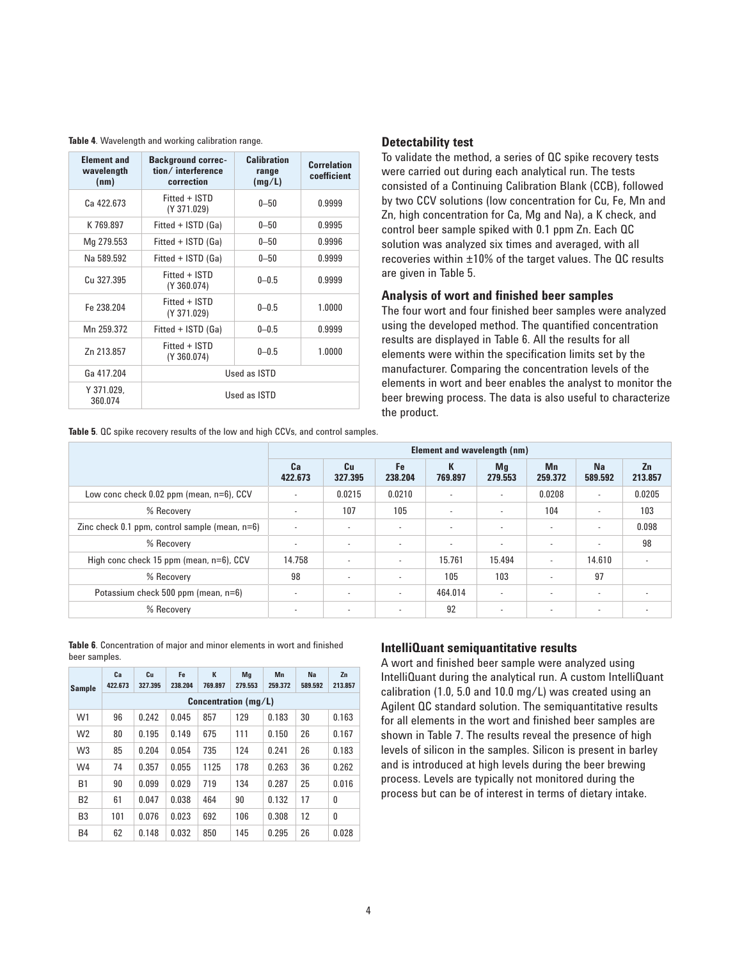**Table 4**. Wavelength and working calibration range.

| <b>Element and</b><br>wavelength<br>(nm) | Calibration<br><b>Background correc-</b><br>tion/interference<br>range<br>correction<br>(mg/L) |           | <b>Correlation</b><br>coefficient |  |  |
|------------------------------------------|------------------------------------------------------------------------------------------------|-----------|-----------------------------------|--|--|
| Ca 422.673                               | Fitted + ISTD<br>(Y 371.029)                                                                   | $0 - 50$  | 0.9999                            |  |  |
| K 769 897                                | Fitted + ISTD (Ga)                                                                             | $0 - 50$  | 0.9995                            |  |  |
| Mg 279.553                               | Fitted + ISTD (Ga)                                                                             | $0 - 50$  | 0.9996                            |  |  |
| Na 589.592                               | Fitted + ISTD (Ga)                                                                             | 0.9999    |                                   |  |  |
| Cu 327.395                               | Fitted + ISTD<br>(Y 360.074)                                                                   | $0 - 0.5$ | 0.9999                            |  |  |
| Fe 238.204                               | Fitted + ISTD<br>$0 - 0.5$<br>1.0000<br>(Y 371.029)                                            |           |                                   |  |  |
| Mn 259.372                               | Fitted + ISTD (Ga)<br>$0 - 0.5$<br>0.9999                                                      |           |                                   |  |  |
| Zn 213.857                               | Fitted + ISTD<br>$0 - 0.5$<br>1.0000<br>(Y 360.074)                                            |           |                                   |  |  |
| Ga 417.204                               | Used as ISTD                                                                                   |           |                                   |  |  |
| Y 371.029.<br>360.074                    | Used as ISTD                                                                                   |           |                                   |  |  |

**Table 5**. QC spike recovery results of the low and high CCVs, and control samples.

#### **Detectability test**

To validate the method, a series of QC spike recovery tests were carried out during each analytical run. The tests consisted of a Continuing Calibration Blank (CCB), followed by two CCV solutions (low concentration for Cu, Fe, Mn and Zn, high concentration for Ca, Mg and Na), a K check, and control beer sample spiked with 0.1 ppm Zn. Each QC solution was analyzed six times and averaged, with all recoveries within ±10% of the target values. The QC results are given in Table 5.

#### **Analysis of wort and finished beer samples**

The four wort and four finished beer samples were analyzed using the developed method. The quantified concentration results are displayed in Table 6. All the results for all elements were within the specification limits set by the manufacturer. Comparing the concentration levels of the elements in wort and beer enables the analyst to monitor the beer brewing process. The data is also useful to characterize the product.

|                                                     | Element and wavelength (nm) |                          |                          |              |                          |               |                          |                |
|-----------------------------------------------------|-----------------------------|--------------------------|--------------------------|--------------|--------------------------|---------------|--------------------------|----------------|
|                                                     | Ca<br>422.673               | Cu<br>327.395            | Fe<br>238.204            | K<br>769.897 | Mg<br>279.553            | Mn<br>259.372 | <b>Na</b><br>589.592     | Zn<br>213.857  |
| Low conc check 0.02 ppm (mean, n=6), CCV            | $\sim$                      | 0.0215                   | 0.0210                   | $\sim$       | $\sim$                   | 0.0208        | ٠                        | 0.0205         |
| % Recovery                                          | ٠                           | 107                      | 105                      | ÷            | $\overline{\phantom{a}}$ | 104           |                          | 103            |
| Zinc check $0.1$ ppm, control sample (mean, $n=6$ ) | ٠                           | $\sim$                   | $\sim$                   | $\sim$       | $\overline{a}$           | $\sim$        | $\overline{\phantom{a}}$ | 0.098          |
| % Recovery                                          | ٠                           | $\overline{\phantom{a}}$ | $\sim$                   | ٠            | $\overline{a}$           |               | ٠                        | 98             |
| High conc check 15 ppm (mean, n=6), CCV             | 14.758                      | $\sim$                   | ×                        | 15.761       | 15.494                   |               | 14.610                   | $\overline{a}$ |
| % Recovery                                          | 98                          | $\overline{\phantom{a}}$ | $\overline{\phantom{a}}$ | 105          | 103                      |               | 97                       |                |
| Potassium check 500 ppm (mean, n=6)                 | $\overline{\phantom{a}}$    | $\sim$                   | ×                        | 464.014      | $\sim$                   |               | $\overline{\phantom{a}}$ |                |
| % Recovery                                          |                             | $\sim$                   | $\overline{\phantom{a}}$ | 92           | $\overline{a}$           |               | $\overline{\phantom{a}}$ |                |

**Table 6**. Concentration of major and minor elements in wort and finished beer samples.

| <b>Sample</b>  | Ca<br>422.673 | Cu<br>327.395          | Fe<br>238.204 | K<br>769.897 | Mg<br>279.553 | Mn<br>259.372 | Na<br>589.592 | Zn<br>213.857 |  |  |
|----------------|---------------|------------------------|---------------|--------------|---------------|---------------|---------------|---------------|--|--|
|                |               | Concentration $(mg/L)$ |               |              |               |               |               |               |  |  |
| W <sub>1</sub> | 96            | 0.242                  | 0.045         | 857          | 129           | 0.183         | 30            | 0.163         |  |  |
| W <sub>2</sub> | 80            | 0.195                  | 0.149         | 675          | 111           | 0.150         | 26            | 0.167         |  |  |
| W <sub>3</sub> | 85            | 0.204                  | 0.054         | 735          | 124           | 0.241         | 26            | 0.183         |  |  |
| W <sub>4</sub> | 74            | 0.357                  | 0.055         | 1125         | 178           | 0.263         | 36            | 0.262         |  |  |
| <b>B1</b>      | 90            | 0.099                  | 0.029         | 719          | 134           | 0.287         | 25            | 0.016         |  |  |
| <b>B2</b>      | 61            | 0.047                  | 0.038         | 464          | 90            | 0.132         | 17            | 0             |  |  |
| B <sub>3</sub> | 101           | 0.076                  | 0.023         | 692          | 106           | 0.308         | 12            | 0             |  |  |
| B4             | 62            | 0.148                  | 0.032         | 850          | 145           | 0.295         | 26            | 0.028         |  |  |

#### **IntelliQuant semiquantitative results**

A wort and finished beer sample were analyzed using IntelliQuant during the analytical run. A custom IntelliQuant calibration (1.0, 5.0 and 10.0 mg/L) was created using an Agilent QC standard solution. The semiquantitative results for all elements in the wort and finished beer samples are shown in Table 7. The results reveal the presence of high levels of silicon in the samples. Silicon is present in barley and is introduced at high levels during the beer brewing process. Levels are typically not monitored during the process but can be of interest in terms of dietary intake.